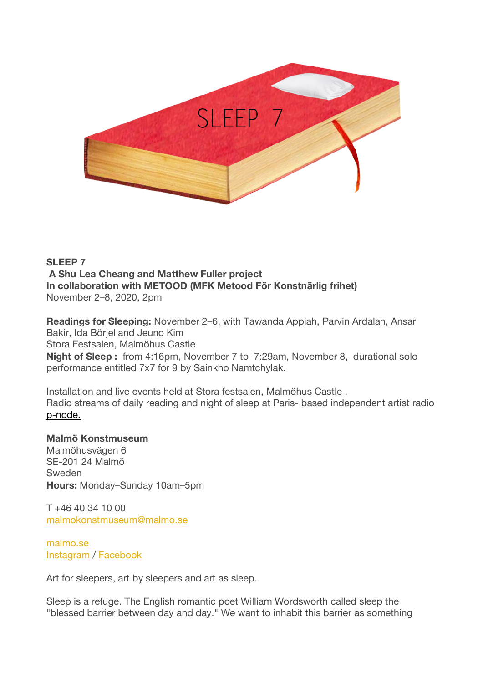

## **SLEEP 7 A Shu Lea Cheang and Matthew Fuller project In collaboration with METOOD (MFK Metood För Konstnärlig frihet)** November 2–8, 2020, 2pm

**Readings for Sleeping:** November 2–6, with Tawanda Appiah, Parvin Ardalan, Ansar Bakir, Ida Börjel and Jeuno Kim Stora Festsalen, Malmöhus Castle

**Night of Sleep :** from 4:16pm, November 7 to 7:29am, November 8, durational solo performance entitled 7x7 for 9 by Sainkho Namtchylak.

Installation and live events held at Stora festsalen, Malmöhus Castle . Radio streams of daily reading and night of sleep at Paris- based independent artist radio p-node.

### **Malmö Konstmuseum**

Malmöhusvägen 6 SE-201 24 Malmö Sweden **Hours:** Monday–Sunday 10am–5pm

 $T + 46$  40 34 10 00 malmokonstmuseum@malmo.se

malmo.se Instagram / Facebook

Art for sleepers, art by sleepers and art as sleep.

Sleep is a refuge. The English romantic poet William Wordsworth called sleep the "blessed barrier between day and day." We want to inhabit this barrier as something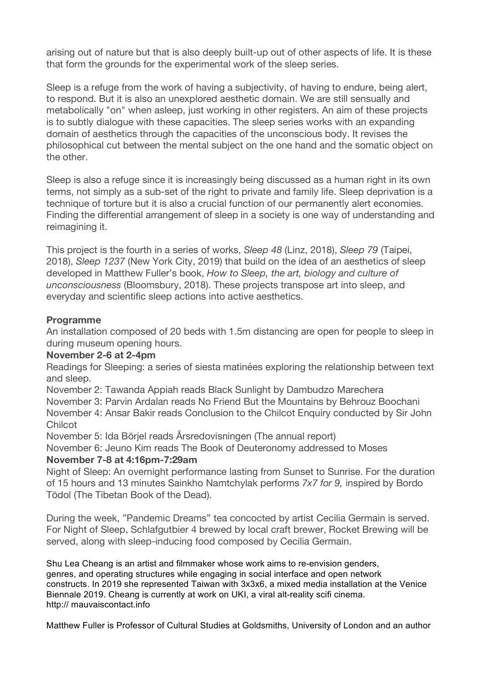arising out of nature but that is also deeply built-up out of other aspects of life. It is these that form the grounds for the experimental work of the sleep series.

Sleep is a refuge from the work of having a subjectivity, of having to endure, being alert, to respond. But it is also an unexplored aesthetic domain. We are still sensually and metabolically "on" when asleep, just working in other registers. An aim of these projects is to subtly dialogue with these capacities. The sleep series works with an expanding domain of aesthetics through the capacities of the unconscious body. It revises the philosophical cut between the mental subject on the one hand and the somatic object on the other.

Sleep is also a refuge since it is increasingly being discussed as a human right in its own terms, not simply as a sub-set of the right to private and family life. Sleep deprivation is a technique of torture but it is also a crucial function of our permanently alert economies. Finding the differential arrangement of sleep in a society is one way of understanding and reimagining it.

This project is the fourth in a series of works, *Sleep 48* (Linz, 2018), *Sleep 79* (Taipei, 2018), *Sleep 1237* (New York City, 2019) that build on the idea of an aesthetics of sleep developed in Matthew Fuller's book, *How to Sleep, the art, biology and culture of unconsciousness* (Bloomsbury, 2018). These projects transpose art into sleep, and everyday and scientific sleep actions into active aesthetics.

### **Programme**

An installation composed of 20 beds with 1.5m distancing are open for people to sleep in during museum opening hours.

### **November 2-6 at 2-4pm**

Readings for Sleeping: a series of siesta matinées exploring the relationship between text and sleep.

November 2: Tawanda Appiah reads Black Sunlight by Dambudzo Marechera

November 3: Parvin Ardalan reads No Friend But the Mountains by Behrouz Boochani November 4: Ansar Bakir reads Conclusion to the Chilcot Enquiry conducted by Sir John **Chilcot** 

November 5: Ida Börjel reads Årsredovisningen (The annual report)

November 6: Jeuno Kim reads The Book of Deuteronomy addressed to Moses

# **November 7-8 at 4:16pm-7:29am**

Night of Sleep: An overnight performance lasting from Sunset to Sunrise. For the duration of 15 hours and 13 minutes Sainkho Namtchylak performs *7x7 for 9,* inspired by Bordo Tödol (The Tibetan Book of the Dead).

During the week, "Pandemic Dreams" tea concocted by artist Cecilia Germain is served. For Night of Sleep, Schlafgutbier 4 brewed by local craft brewer, Rocket Brewing will be served, along with sleep-inducing food composed by Cecilia Germain.

Shu Lea Cheang is an artist and filmmaker whose work aims to re-envision genders, genres, and operating structures while engaging in social interface and open network constructs. In 2019 she represented Taiwan with 3x3x6, a mixed media installation at the Venice Biennale 2019. Cheang is currently at work on UKI, a viral alt-reality scifi cinema. http:// mauvaiscontact.info

Matthew Fuller is Professor of Cultural Studies at Goldsmiths, University of London and an author